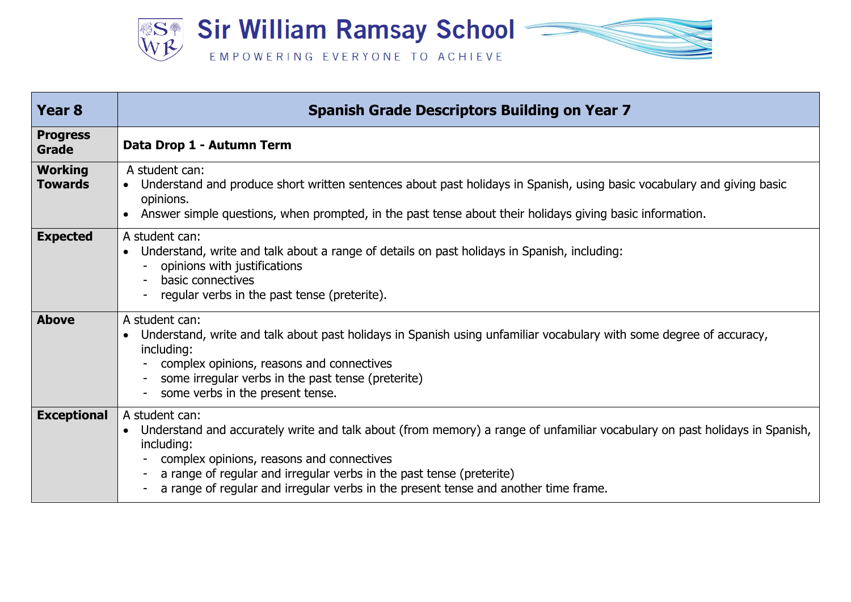

| Year <sub>8</sub>                | <b>Spanish Grade Descriptors Building on Year 7</b>                                                                                                                                                                                                                                                                                                                    |
|----------------------------------|------------------------------------------------------------------------------------------------------------------------------------------------------------------------------------------------------------------------------------------------------------------------------------------------------------------------------------------------------------------------|
| <b>Progress</b><br>Grade         | Data Drop 1 - Autumn Term                                                                                                                                                                                                                                                                                                                                              |
| <b>Working</b><br><b>Towards</b> | A student can:<br>Understand and produce short written sentences about past holidays in Spanish, using basic vocabulary and giving basic<br>$\bullet$<br>opinions.<br>Answer simple questions, when prompted, in the past tense about their holidays giving basic information.                                                                                         |
| <b>Expected</b>                  | A student can:<br>Understand, write and talk about a range of details on past holidays in Spanish, including:<br>opinions with justifications<br>basic connectives<br>regular verbs in the past tense (preterite).                                                                                                                                                     |
| <b>Above</b>                     | A student can:<br>Understand, write and talk about past holidays in Spanish using unfamiliar vocabulary with some degree of accuracy,<br>including:<br>complex opinions, reasons and connectives<br>some irregular verbs in the past tense (preterite)<br>some verbs in the present tense.                                                                             |
| <b>Exceptional</b>               | A student can:<br>Understand and accurately write and talk about (from memory) a range of unfamiliar vocabulary on past holidays in Spanish,<br>including:<br>complex opinions, reasons and connectives<br>a range of regular and irregular verbs in the past tense (preterite)<br>a range of regular and irregular verbs in the present tense and another time frame. |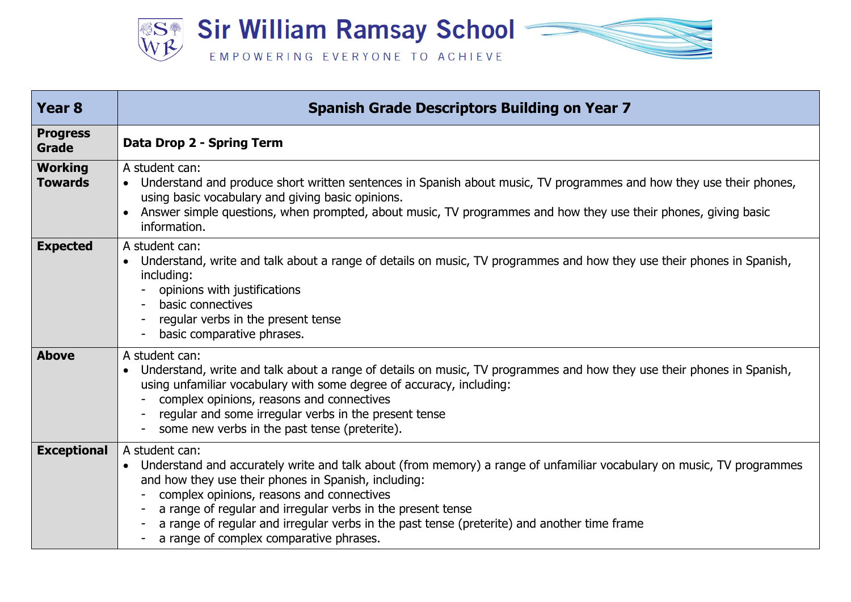

| Year <sub>8</sub>                | <b>Spanish Grade Descriptors Building on Year 7</b>                                                                                                                                                                                                                                                                                                                                                                                                                               |
|----------------------------------|-----------------------------------------------------------------------------------------------------------------------------------------------------------------------------------------------------------------------------------------------------------------------------------------------------------------------------------------------------------------------------------------------------------------------------------------------------------------------------------|
| <b>Progress</b><br>Grade         | Data Drop 2 - Spring Term                                                                                                                                                                                                                                                                                                                                                                                                                                                         |
| <b>Working</b><br><b>Towards</b> | A student can:<br>• Understand and produce short written sentences in Spanish about music, TV programmes and how they use their phones,<br>using basic vocabulary and giving basic opinions.<br>Answer simple questions, when prompted, about music, TV programmes and how they use their phones, giving basic<br>information.                                                                                                                                                    |
| <b>Expected</b>                  | A student can:<br>Understand, write and talk about a range of details on music, TV programmes and how they use their phones in Spanish,<br>including:<br>opinions with justifications<br>basic connectives<br>regular verbs in the present tense<br>basic comparative phrases.                                                                                                                                                                                                    |
| <b>Above</b>                     | A student can:<br>Understand, write and talk about a range of details on music, TV programmes and how they use their phones in Spanish,<br>using unfamiliar vocabulary with some degree of accuracy, including:<br>complex opinions, reasons and connectives<br>regular and some irregular verbs in the present tense<br>some new verbs in the past tense (preterite).                                                                                                            |
| <b>Exceptional</b>               | A student can:<br>Understand and accurately write and talk about (from memory) a range of unfamiliar vocabulary on music, TV programmes<br>and how they use their phones in Spanish, including:<br>complex opinions, reasons and connectives<br>a range of regular and irregular verbs in the present tense<br>$\overline{\phantom{a}}$<br>a range of regular and irregular verbs in the past tense (preterite) and another time frame<br>a range of complex comparative phrases. |